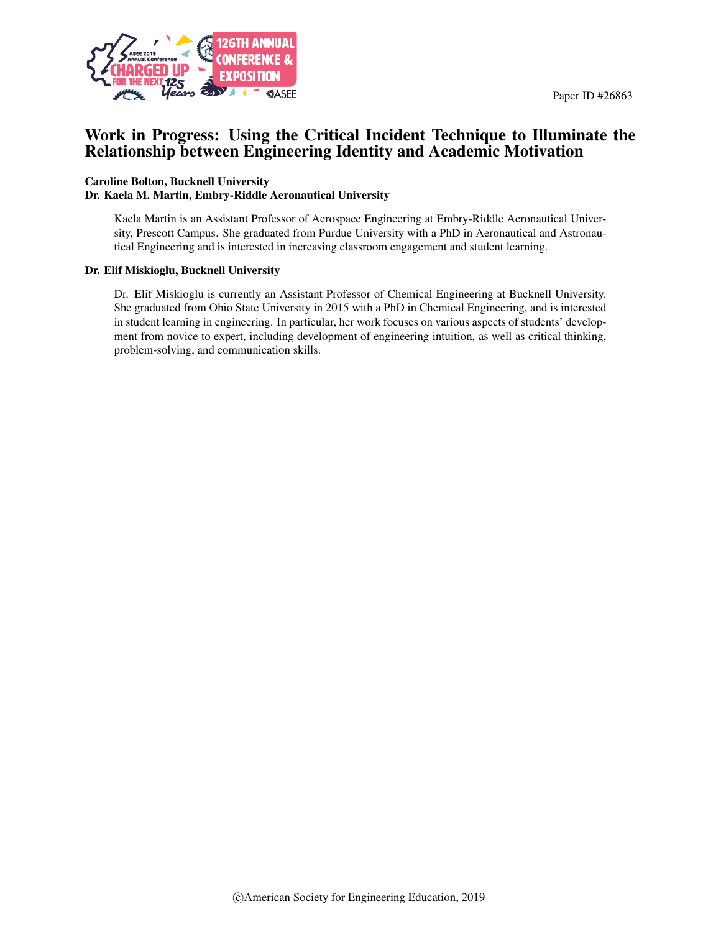

# Work in Progress: Using the Critical Incident Technique to Illuminate the Relationship between Engineering Identity and Academic Motivation

### Caroline Bolton, Bucknell University Dr. Kaela M. Martin, Embry-Riddle Aeronautical University

Kaela Martin is an Assistant Professor of Aerospace Engineering at Embry-Riddle Aeronautical University, Prescott Campus. She graduated from Purdue University with a PhD in Aeronautical and Astronautical Engineering and is interested in increasing classroom engagement and student learning.

#### Dr. Elif Miskioglu, Bucknell University

Dr. Elif Miskioglu is currently an Assistant Professor of Chemical Engineering at Bucknell University. She graduated from Ohio State University in 2015 with a PhD in Chemical Engineering, and is interested in student learning in engineering. In particular, her work focuses on various aspects of students' development from novice to expert, including development of engineering intuition, as well as critical thinking, problem-solving, and communication skills.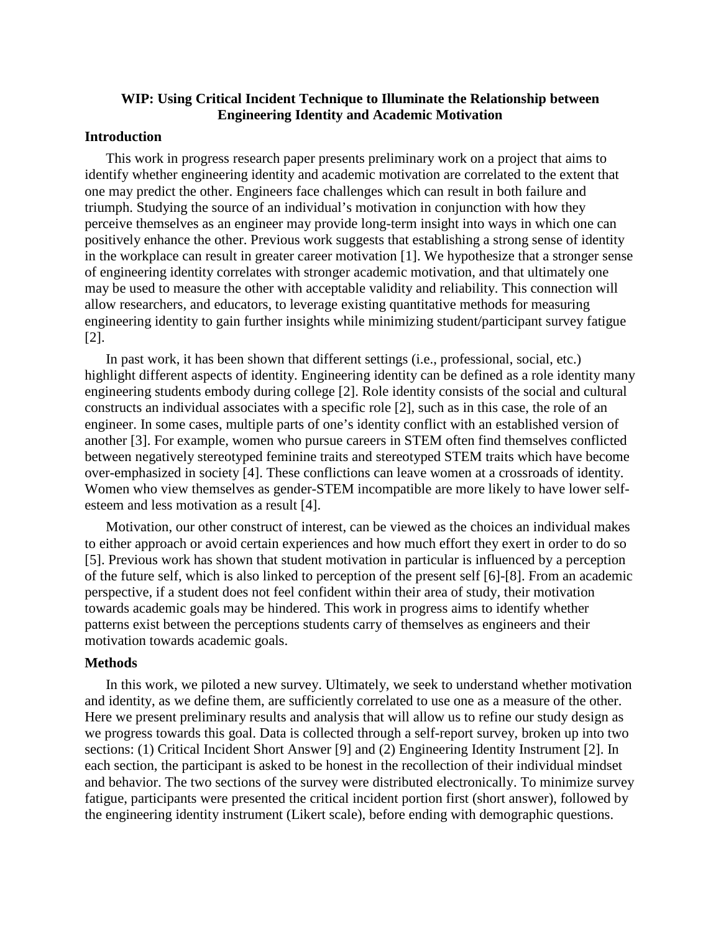# **WIP: Using Critical Incident Technique to Illuminate the Relationship between Engineering Identity and Academic Motivation**

# **Introduction**

This work in progress research paper presents preliminary work on a project that aims to identify whether engineering identity and academic motivation are correlated to the extent that one may predict the other. Engineers face challenges which can result in both failure and triumph. Studying the source of an individual's motivation in conjunction with how they perceive themselves as an engineer may provide long-term insight into ways in which one can positively enhance the other. Previous work suggests that establishing a strong sense of identity in the workplace can result in greater career motivation [1]. We hypothesize that a stronger sense of engineering identity correlates with stronger academic motivation, and that ultimately one may be used to measure the other with acceptable validity and reliability. This connection will allow researchers, and educators, to leverage existing quantitative methods for measuring engineering identity to gain further insights while minimizing student/participant survey fatigue [2].

In past work, it has been shown that different settings (i.e., professional, social, etc.) highlight different aspects of identity. Engineering identity can be defined as a role identity many engineering students embody during college [2]. Role identity consists of the social and cultural constructs an individual associates with a specific role [2], such as in this case, the role of an engineer. In some cases, multiple parts of one's identity conflict with an established version of another [3]. For example, women who pursue careers in STEM often find themselves conflicted between negatively stereotyped feminine traits and stereotyped STEM traits which have become over-emphasized in society [4]. These conflictions can leave women at a crossroads of identity. Women who view themselves as gender-STEM incompatible are more likely to have lower selfesteem and less motivation as a result [4].

Motivation, our other construct of interest, can be viewed as the choices an individual makes to either approach or avoid certain experiences and how much effort they exert in order to do so [5]. Previous work has shown that student motivation in particular is influenced by a perception of the future self, which is also linked to perception of the present self [6]-[8]. From an academic perspective, if a student does not feel confident within their area of study, their motivation towards academic goals may be hindered. This work in progress aims to identify whether patterns exist between the perceptions students carry of themselves as engineers and their motivation towards academic goals.

# **Methods**

In this work, we piloted a new survey. Ultimately, we seek to understand whether motivation and identity, as we define them, are sufficiently correlated to use one as a measure of the other. Here we present preliminary results and analysis that will allow us to refine our study design as we progress towards this goal. Data is collected through a self-report survey, broken up into two sections: (1) Critical Incident Short Answer [9] and (2) Engineering Identity Instrument [2]. In each section, the participant is asked to be honest in the recollection of their individual mindset and behavior. The two sections of the survey were distributed electronically. To minimize survey fatigue, participants were presented the critical incident portion first (short answer), followed by the engineering identity instrument (Likert scale), before ending with demographic questions.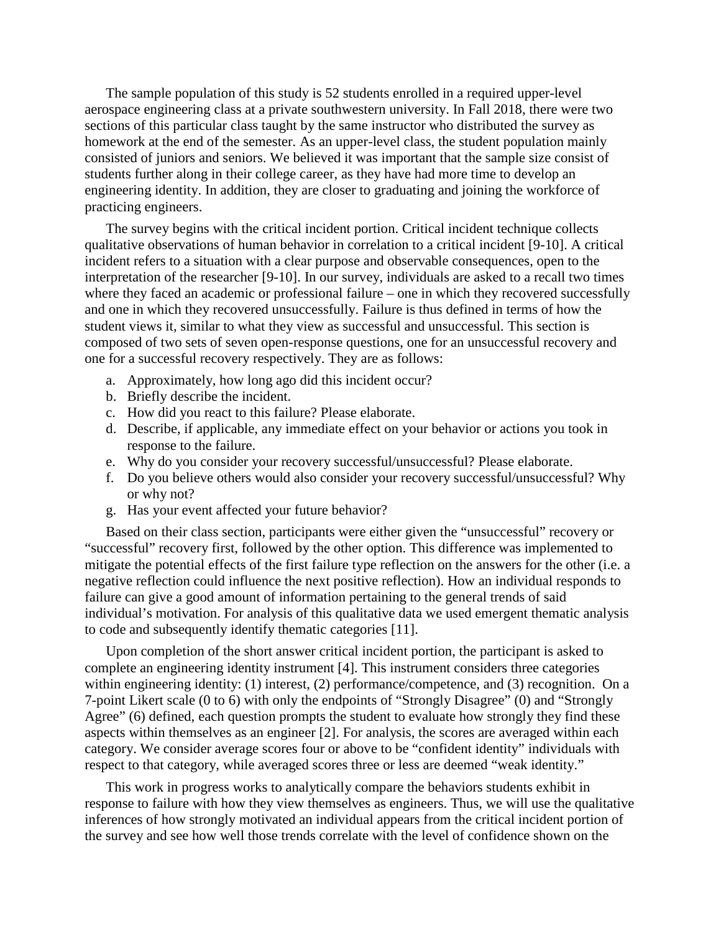The sample population of this study is 52 students enrolled in a required upper-level aerospace engineering class at a private southwestern university. In Fall 2018, there were two sections of this particular class taught by the same instructor who distributed the survey as homework at the end of the semester. As an upper-level class, the student population mainly consisted of juniors and seniors. We believed it was important that the sample size consist of students further along in their college career, as they have had more time to develop an engineering identity. In addition, they are closer to graduating and joining the workforce of practicing engineers.

The survey begins with the critical incident portion. Critical incident technique collects qualitative observations of human behavior in correlation to a critical incident [9-10]. A critical incident refers to a situation with a clear purpose and observable consequences, open to the interpretation of the researcher [9-10]. In our survey, individuals are asked to a recall two times where they faced an academic or professional failure – one in which they recovered successfully and one in which they recovered unsuccessfully. Failure is thus defined in terms of how the student views it, similar to what they view as successful and unsuccessful. This section is composed of two sets of seven open-response questions, one for an unsuccessful recovery and one for a successful recovery respectively. They are as follows:

- a. Approximately, how long ago did this incident occur?
- b. Briefly describe the incident.
- c. How did you react to this failure? Please elaborate.
- d. Describe, if applicable, any immediate effect on your behavior or actions you took in response to the failure.
- e. Why do you consider your recovery successful/unsuccessful? Please elaborate.
- f. Do you believe others would also consider your recovery successful/unsuccessful? Why or why not?
- g. Has your event affected your future behavior?

Based on their class section, participants were either given the "unsuccessful" recovery or "successful" recovery first, followed by the other option. This difference was implemented to mitigate the potential effects of the first failure type reflection on the answers for the other (i.e. a negative reflection could influence the next positive reflection). How an individual responds to failure can give a good amount of information pertaining to the general trends of said individual's motivation. For analysis of this qualitative data we used emergent thematic analysis to code and subsequently identify thematic categories [11].

Upon completion of the short answer critical incident portion, the participant is asked to complete an engineering identity instrument [4]. This instrument considers three categories within engineering identity: (1) interest, (2) performance/competence, and (3) recognition. On a 7-point Likert scale (0 to 6) with only the endpoints of "Strongly Disagree" (0) and "Strongly Agree" (6) defined, each question prompts the student to evaluate how strongly they find these aspects within themselves as an engineer [2]. For analysis, the scores are averaged within each category. We consider average scores four or above to be "confident identity" individuals with respect to that category, while averaged scores three or less are deemed "weak identity."

This work in progress works to analytically compare the behaviors students exhibit in response to failure with how they view themselves as engineers. Thus, we will use the qualitative inferences of how strongly motivated an individual appears from the critical incident portion of the survey and see how well those trends correlate with the level of confidence shown on the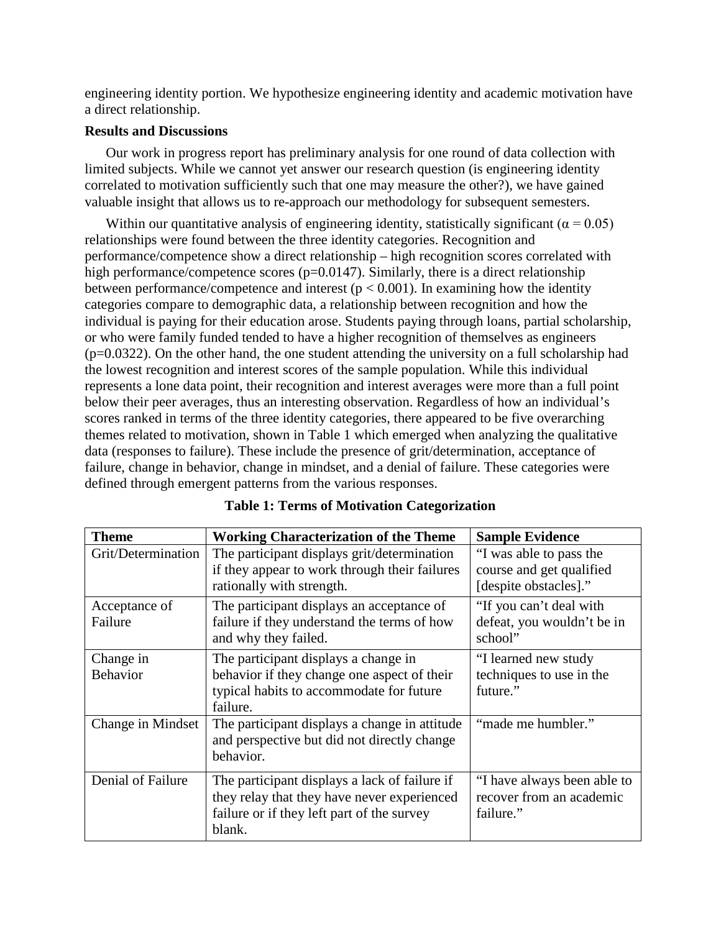engineering identity portion. We hypothesize engineering identity and academic motivation have a direct relationship.

# **Results and Discussions**

Our work in progress report has preliminary analysis for one round of data collection with limited subjects. While we cannot yet answer our research question (is engineering identity correlated to motivation sufficiently such that one may measure the other?), we have gained valuable insight that allows us to re-approach our methodology for subsequent semesters.

Within our quantitative analysis of engineering identity, statistically significant ( $\alpha$  = 0.05) relationships were found between the three identity categories. Recognition and performance/competence show a direct relationship – high recognition scores correlated with high performance/competence scores ( $p=0.0147$ ). Similarly, there is a direct relationship between performance/competence and interest ( $p < 0.001$ ). In examining how the identity categories compare to demographic data, a relationship between recognition and how the individual is paying for their education arose. Students paying through loans, partial scholarship, or who were family funded tended to have a higher recognition of themselves as engineers  $(p=0.0322)$ . On the other hand, the one student attending the university on a full scholarship had the lowest recognition and interest scores of the sample population. While this individual represents a lone data point, their recognition and interest averages were more than a full point below their peer averages, thus an interesting observation. Regardless of how an individual's scores ranked in terms of the three identity categories, there appeared to be five overarching themes related to motivation, shown in Table 1 which emerged when analyzing the qualitative data (responses to failure). These include the presence of grit/determination, acceptance of failure, change in behavior, change in mindset, and a denial of failure. These categories were defined through emergent patterns from the various responses.

| <b>Theme</b>                 | <b>Working Characterization of the Theme</b>                                                                                                         | <b>Sample Evidence</b>                                                       |  |
|------------------------------|------------------------------------------------------------------------------------------------------------------------------------------------------|------------------------------------------------------------------------------|--|
| Grit/Determination           | The participant displays grit/determination<br>if they appear to work through their failures<br>rationally with strength.                            | "I was able to pass the<br>course and get qualified<br>[despite obstacles]." |  |
| Acceptance of<br>Failure     | The participant displays an acceptance of<br>failure if they understand the terms of how<br>and why they failed.                                     | "If you can't deal with<br>defeat, you wouldn't be in<br>school"             |  |
| Change in<br><b>Behavior</b> | The participant displays a change in<br>behavior if they change one aspect of their<br>typical habits to accommodate for future<br>failure.          | "I learned new study"<br>techniques to use in the<br>future."                |  |
| Change in Mindset            | "made me humbler."<br>The participant displays a change in attitude<br>and perspective but did not directly change<br>behavior.                      |                                                                              |  |
| Denial of Failure            | The participant displays a lack of failure if<br>they relay that they have never experienced<br>failure or if they left part of the survey<br>blank. | "I have always been able to<br>recover from an academic<br>failure."         |  |

|  |  |  | <b>Table 1: Terms of Motivation Categorization</b> |
|--|--|--|----------------------------------------------------|
|--|--|--|----------------------------------------------------|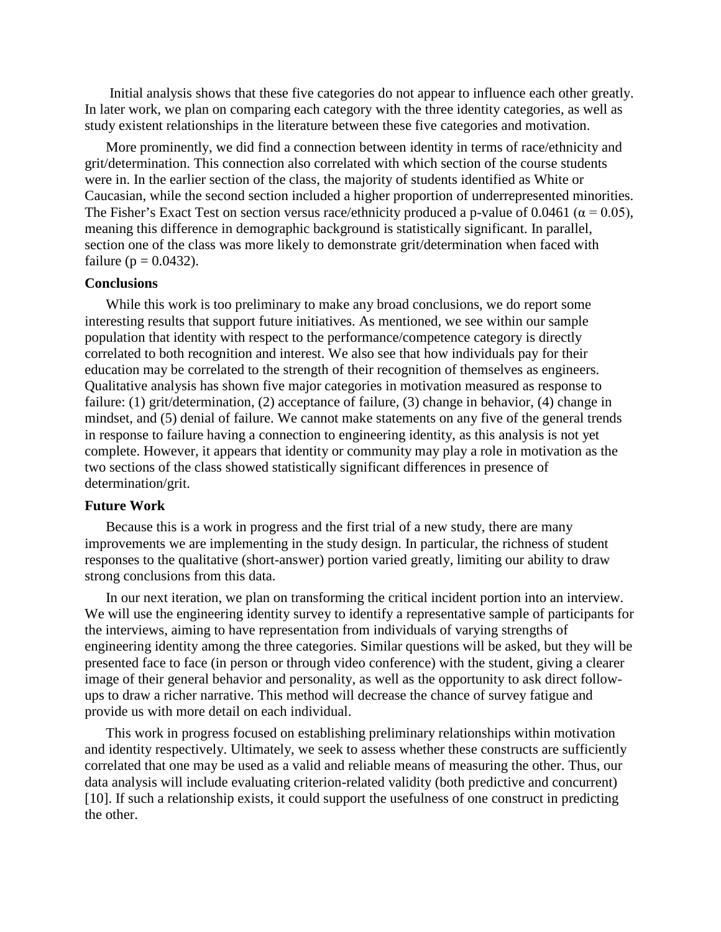Initial analysis shows that these five categories do not appear to influence each other greatly. In later work, we plan on comparing each category with the three identity categories, as well as study existent relationships in the literature between these five categories and motivation.

More prominently, we did find a connection between identity in terms of race/ethnicity and grit/determination. This connection also correlated with which section of the course students were in. In the earlier section of the class, the majority of students identified as White or Caucasian, while the second section included a higher proportion of underrepresented minorities. The Fisher's Exact Test on section versus race/ethnicity produced a p-value of 0.0461 ( $\alpha$  = 0.05), meaning this difference in demographic background is statistically significant. In parallel, section one of the class was more likely to demonstrate grit/determination when faced with failure ( $p = 0.0432$ ).

#### **Conclusions**

While this work is too preliminary to make any broad conclusions, we do report some interesting results that support future initiatives. As mentioned, we see within our sample population that identity with respect to the performance/competence category is directly correlated to both recognition and interest. We also see that how individuals pay for their education may be correlated to the strength of their recognition of themselves as engineers. Qualitative analysis has shown five major categories in motivation measured as response to failure: (1) grit/determination, (2) acceptance of failure, (3) change in behavior, (4) change in mindset, and (5) denial of failure. We cannot make statements on any five of the general trends in response to failure having a connection to engineering identity, as this analysis is not yet complete. However, it appears that identity or community may play a role in motivation as the two sections of the class showed statistically significant differences in presence of determination/grit.

### **Future Work**

Because this is a work in progress and the first trial of a new study, there are many improvements we are implementing in the study design. In particular, the richness of student responses to the qualitative (short-answer) portion varied greatly, limiting our ability to draw strong conclusions from this data.

In our next iteration, we plan on transforming the critical incident portion into an interview. We will use the engineering identity survey to identify a representative sample of participants for the interviews, aiming to have representation from individuals of varying strengths of engineering identity among the three categories. Similar questions will be asked, but they will be presented face to face (in person or through video conference) with the student, giving a clearer image of their general behavior and personality, as well as the opportunity to ask direct followups to draw a richer narrative. This method will decrease the chance of survey fatigue and provide us with more detail on each individual.

This work in progress focused on establishing preliminary relationships within motivation and identity respectively. Ultimately, we seek to assess whether these constructs are sufficiently correlated that one may be used as a valid and reliable means of measuring the other. Thus, our data analysis will include evaluating criterion-related validity (both predictive and concurrent) [10]. If such a relationship exists, it could support the usefulness of one construct in predicting the other.